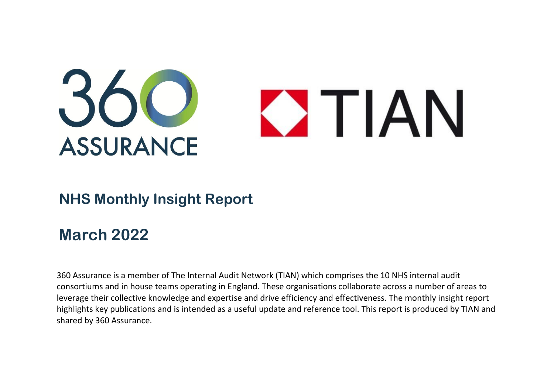

### **NHS Monthly Insight Report**

## **March 2022**

360 Assurance is a member of The Internal Audit Network (TIAN) which comprises the 10 NHS internal audit consortiums and in house teams operating in England. These organisations collaborate across a number of areas to leverage their collective knowledge and expertise and drive efficiency and effectiveness. The monthly insight report highlights key publications and is intended as a useful update and reference tool. This report is produced by TIAN and shared by 360 Assurance.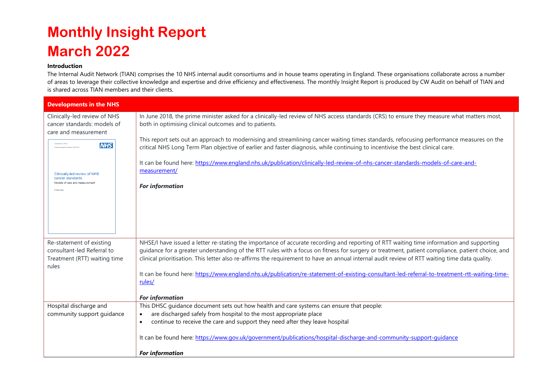# **Monthly Insight Report March 2022**

### **Introduction**

The Internal Audit Network (TIAN) comprises the 10 NHS internal audit consortiums and in house teams operating in England. These organisations collaborate across a number of areas to leverage their collective knowledge and expertise and drive efficiency and effectiveness. The monthly Insight Report is produced by CW Audit on behalf of TIAN and is shared across TIAN members and their clients.

| <b>Developments in the NHS</b>                                                                                 |                                                                                                                                                                                                                                                                                             |  |
|----------------------------------------------------------------------------------------------------------------|---------------------------------------------------------------------------------------------------------------------------------------------------------------------------------------------------------------------------------------------------------------------------------------------|--|
| Clinically-led review of NHS<br>cancer standards: models of<br>care and measurement                            | In June 2018, the prime minister asked for a clinically-led review of NHS access standards (CRS) to ensure they measure what matters most,<br>both in optimising clinical outcomes and to patients.                                                                                         |  |
| Classification: Official<br><b>NHS</b>                                                                         | This report sets out an approach to modernising and streamlining cancer waiting times standards, refocusing performance measures on the<br>critical NHS Long Term Plan objective of earlier and faster diagnosis, while continuing to incentivise the best clinical care.                   |  |
| Clinically-led review of NHS<br>cancer standards<br>Models of care and measuremen<br>9 <sup>6</sup> March 2022 | It can be found here: https://www.england.nhs.uk/publication/clinically-led-review-of-nhs-cancer-standards-models-of-care-and-<br>measurement/                                                                                                                                              |  |
|                                                                                                                | <b>For information</b>                                                                                                                                                                                                                                                                      |  |
|                                                                                                                |                                                                                                                                                                                                                                                                                             |  |
|                                                                                                                |                                                                                                                                                                                                                                                                                             |  |
| Re-statement of existing<br>consultant-led Referral to                                                         | NHSE/I have issued a letter re-stating the importance of accurate recording and reporting of RTT waiting time information and supporting<br>guidance for a greater understanding of the RTT rules with a focus on fitness for surgery or treatment, patient compliance, patient choice, and |  |
| Treatment (RTT) waiting time<br>rules                                                                          | clinical prioritisation. This letter also re-affirms the requirement to have an annual internal audit review of RTT waiting time data quality.                                                                                                                                              |  |
|                                                                                                                | It can be found here: https://www.england.nhs.uk/publication/re-statement-of-existing-consultant-led-referral-to-treatment-rtt-waiting-time-<br>rules/                                                                                                                                      |  |
|                                                                                                                | <b>For information</b>                                                                                                                                                                                                                                                                      |  |
| Hospital discharge and                                                                                         | This DHSC quidance document sets out how health and care systems can ensure that people:                                                                                                                                                                                                    |  |
| community support guidance                                                                                     | are discharged safely from hospital to the most appropriate place<br>$\bullet$                                                                                                                                                                                                              |  |
|                                                                                                                | continue to receive the care and support they need after they leave hospital<br>$\bullet$                                                                                                                                                                                                   |  |
|                                                                                                                | It can be found here: https://www.gov.uk/government/publications/hospital-discharge-and-community-support-quidance                                                                                                                                                                          |  |
|                                                                                                                | <b>For information</b>                                                                                                                                                                                                                                                                      |  |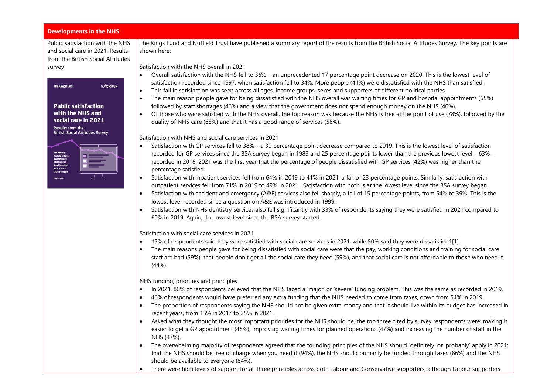#### **Developments in the NHS**

Public satisfaction with the NHS and social care in 2021: Results from the British Social Attitudes survey



The Kings Fund and Nuffield Trust have published a summary report of the results from the British Social Attitudes Survey. The key points are shown here:

Satisfaction with the NHS overall in 2021

- Overall satisfaction with the NHS fell to 36% an unprecedented 17 percentage point decrease on 2020. This is the lowest level of satisfaction recorded since 1997, when satisfaction fell to 34%. More people (41%) were dissatisfied with the NHS than satisfied.
- This fall in satisfaction was seen across all ages, income groups, sexes and supporters of different political parties.
- The main reason people gave for being dissatisfied with the NHS overall was waiting times for GP and hospital appointments (65%) followed by staff shortages (46%) and a view that the government does not spend enough money on the NHS (40%).
- Of those who were satisfied with the NHS overall, the top reason was because the NHS is free at the point of use (78%), followed by the quality of NHS care (65%) and that it has a good range of services (58%).

Satisfaction with NHS and social care services in 2021

- Satisfaction with GP services fell to 38% a 30 percentage point decrease compared to 2019. This is the lowest level of satisfaction recorded for GP services since the BSA survey began in 1983 and 25 percentage points lower than the previous lowest level – 63% – recorded in 2018. 2021 was the first year that the percentage of people dissatisfied with GP services (42%) was higher than the percentage satisfied.
- Satisfaction with inpatient services fell from 64% in 2019 to 41% in 2021, a fall of 23 percentage points. Similarly, satisfaction with outpatient services fell from 71% in 2019 to 49% in 2021. Satisfaction with both is at the lowest level since the BSA survey began.
- Satisfaction with accident and emergency (A&E) services also fell sharply, a fall of 15 percentage points, from 54% to 39%. This is the lowest level recorded since a question on A&E was introduced in 1999.
- Satisfaction with NHS dentistry services also fell significantly with 33% of respondents saying they were satisfied in 2021 compared to 60% in 2019. Again, the lowest level since the BSA survey started.

Satisfaction with social care services in 2021

- 15% of respondents said they were satisfied with social care services in 2021, while 50% said they were dissatisfie[d1](https://www.nuffieldtrust.org.uk/research/public-satisfaction-with-the-nhs-and-social-care-in-2021-results-from-the-british-social-attitudes-survey#fn-1)[\[1\]](https://www.nuffieldtrust.org.uk/research/public-satisfaction-with-the-nhs-and-social-care-in-2021-results-from-the-british-social-attitudes-survey#_ftn1)
- The main reasons people gave for being dissatisfied with social care were that the pay, working conditions and training for social care staff are bad (59%), that people don't get all the social care they need (59%), and that social care is not affordable to those who need it (44%).

NHS funding, priorities and principles

- In 2021, 80% of respondents believed that the NHS faced a 'major' or 'severe' funding problem. This was the same as recorded in 2019.
- 46% of respondents would have preferred any extra funding that the NHS needed to come from taxes, down from 54% in 2019.
- The proportion of respondents saying the NHS should not be given extra money and that it should live within its budget has increased in recent years, from 15% in 2017 to 25% in 2021.
- Asked what they thought the most important priorities for the NHS should be, the top three cited by survey respondents were: making it easier to get a GP appointment (48%), improving waiting times for planned operations (47%) and increasing the number of staff in the NHS (47%).
- The overwhelming majority of respondents agreed that the founding principles of the NHS should 'definitely' or 'probably' apply in 2021: that the NHS should be free of charge when you need it (94%), the NHS should primarily be funded through taxes (86%) and the NHS should be available to everyone (84%).
- There were high levels of support for all three principles across both Labour and Conservative supporters, although Labour supporters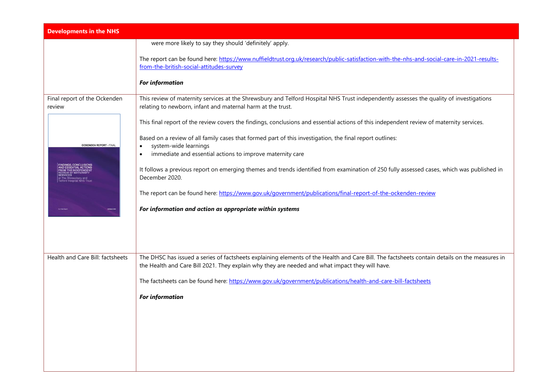| <b>Developments in the NHS</b>         |                                                                                                                                                                                                                                                  |
|----------------------------------------|--------------------------------------------------------------------------------------------------------------------------------------------------------------------------------------------------------------------------------------------------|
|                                        | were more likely to say they should 'definitely' apply.                                                                                                                                                                                          |
|                                        | The report can be found here: https://www.nuffieldtrust.org.uk/research/public-satisfaction-with-the-nhs-and-social-care-in-2021-results-<br>from-the-british-social-attitudes-survey                                                            |
|                                        | <b>For information</b>                                                                                                                                                                                                                           |
| Final report of the Ockenden<br>review | This review of maternity services at the Shrewsbury and Telford Hospital NHS Trust independently assesses the quality of investigations<br>relating to newborn, infant and maternal harm at the trust.                                           |
|                                        | This final report of the review covers the findings, conclusions and essential actions of this independent review of maternity services.                                                                                                         |
| <b>OCKENDEN REPORT - FINAL</b>         | Based on a review of all family cases that formed part of this investigation, the final report outlines:<br>system-wide learnings<br>$\bullet$                                                                                                   |
|                                        | immediate and essential actions to improve maternity care<br>$\bullet$                                                                                                                                                                           |
|                                        | It follows a previous report on emerging themes and trends identified from examination of 250 fully assessed cases, which was published in<br>December 2020.                                                                                     |
|                                        | The report can be found here: https://www.gov.uk/government/publications/final-report-of-the-ockenden-review                                                                                                                                     |
|                                        | For information and action as appropriate within systems                                                                                                                                                                                         |
|                                        |                                                                                                                                                                                                                                                  |
|                                        |                                                                                                                                                                                                                                                  |
| Health and Care Bill: factsheets       | The DHSC has issued a series of factsheets explaining elements of the Health and Care Bill. The factsheets contain details on the measures in<br>the Health and Care Bill 2021. They explain why they are needed and what impact they will have. |
|                                        | The factsheets can be found here: https://www.gov.uk/government/publications/health-and-care-bill-factsheets                                                                                                                                     |
|                                        | <b>For information</b>                                                                                                                                                                                                                           |
|                                        |                                                                                                                                                                                                                                                  |
|                                        |                                                                                                                                                                                                                                                  |
|                                        |                                                                                                                                                                                                                                                  |
|                                        |                                                                                                                                                                                                                                                  |
|                                        |                                                                                                                                                                                                                                                  |